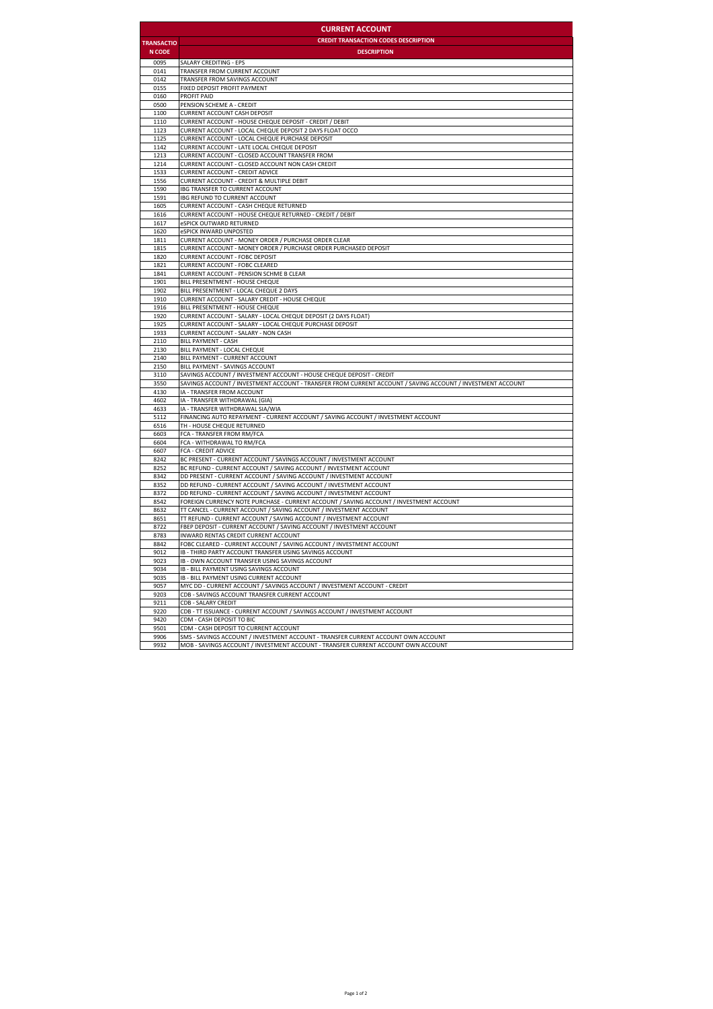| <b>CURRENT ACCOUNT</b> |                                                                                                                                                             |  |
|------------------------|-------------------------------------------------------------------------------------------------------------------------------------------------------------|--|
| <b>TRANSACTIO</b>      | <b>CREDIT TRANSACTION CODES DESCRIPTION</b>                                                                                                                 |  |
| <b>N CODE</b>          | <b>DESCRIPTION</b>                                                                                                                                          |  |
| 0095                   | SALARY CREDITING - EPS                                                                                                                                      |  |
| 0141                   | TRANSFER FROM CURRENT ACCOUNT                                                                                                                               |  |
| 0142                   | TRANSFER FROM SAVINGS ACCOUNT                                                                                                                               |  |
| 0155                   | FIXED DEPOSIT PROFIT PAYMENT                                                                                                                                |  |
| 0160                   | PROFIT PAID                                                                                                                                                 |  |
| 0500                   | PENSION SCHEME A - CREDIT                                                                                                                                   |  |
| 1100                   | <b>CURRENT ACCOUNT CASH DEPOSIT</b>                                                                                                                         |  |
| 1110<br>1123           | <b>CURRENT ACCOUNT - HOUSE CHEQUE DEPOSIT - CREDIT / DEBIT</b><br><b>CURRENT ACCOUNT - LOCAL CHEQUE DEPOSIT 2 DAYS FLOAT OCCO</b>                           |  |
| 1125                   | <b>CURRENT ACCOUNT - LOCAL CHEQUE PURCHASE DEPOSIT</b>                                                                                                      |  |
| 1142                   | <b>CURRENT ACCOUNT - LATE LOCAL CHEQUE DEPOSIT</b>                                                                                                          |  |
| 1213                   | <b>CURRENT ACCOUNT - CLOSED ACCOUNT TRANSFER FROM</b>                                                                                                       |  |
| 1214                   | CURRENT ACCOUNT - CLOSED ACCOUNT NON CASH CREDIT                                                                                                            |  |
| 1533                   | <b>CURRENT ACCOUNT - CREDIT ADVICE</b>                                                                                                                      |  |
| 1556                   | <b>CURRENT ACCOUNT - CREDIT &amp; MULTIPLE DEBIT</b>                                                                                                        |  |
| 1590                   | IBG TRANSFER TO CURRENT ACCOUNT                                                                                                                             |  |
| 1591<br>1605           | <b>IBG REFUND TO CURRENT ACCOUNT</b><br><b>CURRENT ACCOUNT - CASH CHEQUE RETURNED</b>                                                                       |  |
| 1616                   | CURRENT ACCOUNT - HOUSE CHEQUE RETURNED - CREDIT / DEBIT                                                                                                    |  |
| 1617                   | eSPICK OUTWARD RETURNED                                                                                                                                     |  |
| 1620                   | eSPICK INWARD UNPOSTED                                                                                                                                      |  |
| 1811                   | <b>CURRENT ACCOUNT - MONEY ORDER / PURCHASE ORDER CLEAR</b>                                                                                                 |  |
| 1815                   | CURRENT ACCOUNT - MONEY ORDER / PURCHASE ORDER PURCHASED DEPOSIT                                                                                            |  |
| 1820                   | <b>CURRENT ACCOUNT - FOBC DEPOSIT</b>                                                                                                                       |  |
| 1821                   | <b>CURRENT ACCOUNT - FOBC CLEARED</b>                                                                                                                       |  |
| 1841                   | <b>CURRENT ACCOUNT - PENSION SCHME B CLEAR</b>                                                                                                              |  |
| 1901<br>1902           | BILL PRESENTMENT - HOUSE CHEQUE<br>BILL PRESENTMENT - LOCAL CHEQUE 2 DAYS                                                                                   |  |
| 1910                   | <b>CURRENT ACCOUNT - SALARY CREDIT - HOUSE CHEQUE</b>                                                                                                       |  |
| 1916                   | BILL PRESENTMENT - HOUSE CHEQUE                                                                                                                             |  |
| 1920                   | CURRENT ACCOUNT - SALARY - LOCAL CHEQUE DEPOSIT (2 DAYS FLOAT)                                                                                              |  |
| 1925                   | CURRENT ACCOUNT - SALARY - LOCAL CHEQUE PURCHASE DEPOSIT                                                                                                    |  |
| 1933                   | <b>CURRENT ACCOUNT - SALARY - NON CASH</b>                                                                                                                  |  |
| 2110                   | <b>BILL PAYMENT - CASH</b>                                                                                                                                  |  |
| 2130                   | BILL PAYMENT - LOCAL CHEQUE                                                                                                                                 |  |
| 2140<br>2150           | BILL PAYMENT - CURRENT ACCOUNT<br>BILL PAYMENT - SAVINGS ACCOUNT                                                                                            |  |
| 3110                   | SAVINGS ACCOUNT / INVESTMENT ACCOUNT - HOUSE CHEQUE DEPOSIT - CREDIT                                                                                        |  |
| 3550                   | SAVINGS ACCOUNT / INVESTMENT ACCOUNT - TRANSFER FROM CURRENT ACCOUNT / SAVING ACCOUNT / INVESTMENT ACCOUNT                                                  |  |
| 4130                   | IA - TRANSFER FROM ACCOUNT                                                                                                                                  |  |
| 4602                   | IA - TRANSFER WITHDRAWAL (GIA)                                                                                                                              |  |
| 4633                   | IA - TRANSFER WITHDRAWAL SIA/WIA                                                                                                                            |  |
| 5112                   | FINANCING AUTO REPAYMENT - CURRENT ACCOUNT / SAVING ACCOUNT / INVESTMENT ACCOUNT                                                                            |  |
| 6516<br>6603           | TH - HOUSE CHEQUE RETURNED                                                                                                                                  |  |
| 6604                   | FCA - TRANSFER FROM RM/FCA<br>FCA - WITHDRAWAL TO RM/FCA                                                                                                    |  |
| 6607                   | <b>FCA - CREDIT ADVICE</b>                                                                                                                                  |  |
| 8242                   | BC PRESENT - CURRENT ACCOUNT / SAVINGS ACCOUNT / INVESTMENT ACCOUNT                                                                                         |  |
| 8252                   | BC REFUND - CURRENT ACCOUNT / SAVING ACCOUNT / INVESTMENT ACCOUNT                                                                                           |  |
| 8342                   | DD PRESENT - CURRENT ACCOUNT / SAVING ACCOUNT / INVESTMENT ACCOUNT                                                                                          |  |
| 8352                   | DD REFUND - CURRENT ACCOUNT / SAVING ACCOUNT / INVESTMENT ACCOUNT                                                                                           |  |
| 8372                   | DD REFUND - CURRENT ACCOUNT / SAVING ACCOUNT / INVESTMENT ACCOUNT                                                                                           |  |
| 8542<br>8632           | FOREIGN CURRENCY NOTE PURCHASE - CURRENT ACCOUNT / SAVING ACCOUNT / INVESTMENT ACCOUNT<br>TT CANCEL - CURRENT ACCOUNT / SAVING ACCOUNT / INVESTMENT ACCOUNT |  |
| 8651                   | TT REFUND - CURRENT ACCOUNT / SAVING ACCOUNT / INVESTMENT ACCOUNT                                                                                           |  |
| 8722                   | FBEP DEPOSIT - CURRENT ACCOUNT / SAVING ACCOUNT / INVESTMENT ACCOUNT                                                                                        |  |
| 8783                   | INWARD RENTAS CREDIT CURRENT ACCOUNT                                                                                                                        |  |
| 8842                   | FOBC CLEARED - CURRENT ACCOUNT / SAVING ACCOUNT / INVESTMENT ACCOUNT                                                                                        |  |
| 9012                   | IB - THIRD PARTY ACCOUNT TRANSFER USING SAVINGS ACCOUNT                                                                                                     |  |
| 9023                   | IB - OWN ACCOUNT TRANSFER USING SAVINGS ACCOUNT                                                                                                             |  |
| 9034                   | IB - BILL PAYMENT USING SAVINGS ACCOUNT                                                                                                                     |  |
| 9035<br>9057           | IB - BILL PAYMENT USING CURRENT ACCOUNT                                                                                                                     |  |
| 9203                   | MYC DD - CURRENT ACCOUNT / SAVINGS ACCOUNT / INVESTMENT ACCOUNT - CREDIT<br>CDB - SAVINGS ACCOUNT TRANSFER CURRENT ACCOUNT                                  |  |
| 9211                   | <b>CDB - SALARY CREDIT</b>                                                                                                                                  |  |
| 9220                   | CDB - TT ISSUANCE - CURRENT ACCOUNT / SAVINGS ACCOUNT / INVESTMENT ACCOUNT                                                                                  |  |
| 9420                   | CDM - CASH DEPOSIT TO BIC                                                                                                                                   |  |
| 9501                   | CDM - CASH DEPOSIT TO CURRENT ACCOUNT                                                                                                                       |  |
| 9906                   | SMS - SAVINGS ACCOUNT / INVESTMENT ACCOUNT - TRANSFER CURRENT ACCOUNT OWN ACCOUNT                                                                           |  |
| 9932                   | MOB - SAVINGS ACCOUNT / INVESTMENT ACCOUNT - TRANSFER CURRENT ACCOUNT OWN ACCOUNT                                                                           |  |